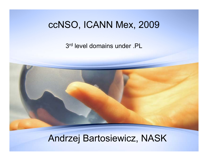## ccNSO, ICANN Mex, 2009

3<sup>rd</sup> level domains under .PL



## Andrzej Bartosiewicz, NASK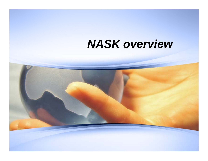## *NASK overvie w*

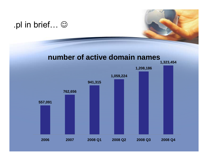### .pl in brief… ☺

#### **number of active domain names**

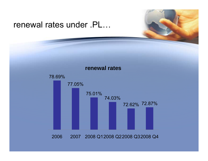#### renewal rates under .PL…

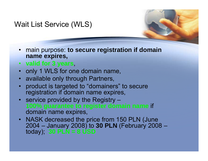#### Wait List Service (WLS)



- **valid for 3 years**,
- only 1 WLS for one domain name,
- available only through Partners,
- product is targeted to "domainers" to secure registration if domain name expires,
- service provided by the Registry **100% guarantee to register domain name** if domain name expires,
- NASK decreased the price from 150 PLN (June 2004 – January 2008) to **30 PLN** (February 2008 – today); **30 PLN <sup>=</sup> 8 USD**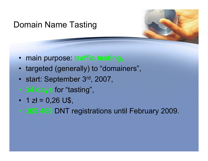## Domain Name Tasting

- main purpose: **traffic testing,**
- targeted (generally) to "domainers" ,
- •start: September 3rd, 2007,
- 14 **days for "tasting",**
- $\cdot$  1 zł = 0,26 U\$,
- 105 469 DNT registrations until February 2009.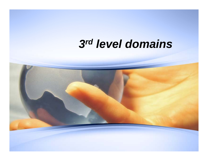# *3rd level domains*

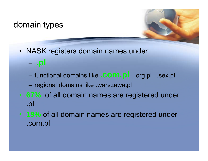#### domain types



- NASK registers domain names under:
	- –**.pl**
	- functional domains like **.com.pl** .org.pl .sex.pl
	- –regional domains like .warszawa.pl
- **67%** of all domain names are registered under .pl
- **19%** of all domain names are registered under .com.pl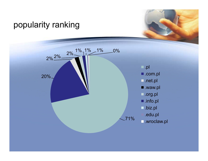#### popularity ranking



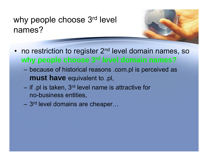## why people choose 3<sup>rd</sup> level names?

- no restriction to register 2<sup>nd</sup> • no restriction to register 2<sup>nd</sup> level domain names, so **why people choose 3rd level domain names?**
	- – $-$  because of historical reasons .com pl is perceived as **must have** equivalent to .pl,
	- if . pl is taken, 3rd level name is attractive for no-business entities,
	- 3<sup>rd</sup> level domains are cheaper...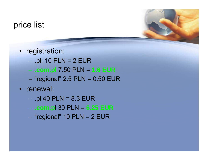#### price list

- registration:
	- –.pl: 10 PLN = 2 EUR
	- **.com pl .** 7 50 PLN <sup>=</sup> 7.50 **1 6 EUR 1.6**
	- "regional" 2.5 PLN = 0.50 EUR
- renewal:
	- –.pl 40 PLN = 8.3 EUR
	- **.com.p**l 30 PLN = **6.25 EUR**
	- "regional" 10 PLN = 2 EUR